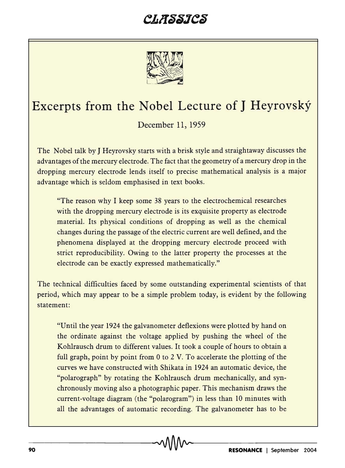## CLASSICS



## **Excerpts from the Nobel Lecture of J Heyrovsky**

December 11, 1959

The Nobel talk by J Heyrovsky starts with a brisk style and straightaway discusses the advantages of the mercury electrode. The fact that the geometry of a mercury drop in the dropping mercury electrode lends itself to precise mathematical analysis is a major advantage which is seldom emphasised in text books.

"The reason why I keep some 38 years to the electrochemical researches with the dropping mercury electrode is its exquisite property as electrode material. Its physical conditions of dropping as well as the chemical changes during the passage of the electric current are well defined, and the phenomena displayed at the dropping mercury electrode proceed with strict reproducibility. Owing to the latter property the processes at the electrode can be exactly expressed mathematically."

The technical difficulties faced by some outstanding experimental scientists of that period, which may appear to be a simple problem today, is evident by the following statement:

"Until the year 1924 the galvanometer deflexions were plotted by hand on the ordinate against the voltage applied by pushing the wheel of the Kohlrausch drum to different values. It took a couple of hours to obtain a full graph, point by point from 0 to 2 V. To accelerate the plotting of the curves we have constructed with Shikata in 1924 an automatic device, the "polarograph" by rotating the Kohlrausch drum mechanically, and synchronously moving also a photographic paper. This mechanism draws the current-voltage diagram (the "polarogram") in less than 10 minutes with all the advantages of automatic recording. The galvanometer has to be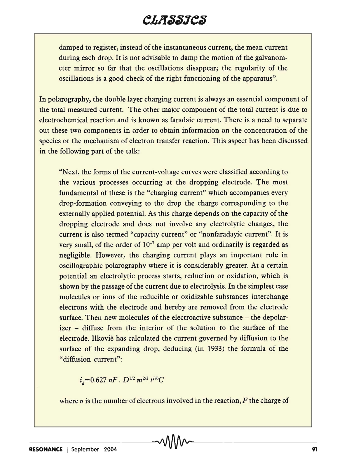## CLASSICS

damped to register, instead of the instantaneous current, the mean current during each drop. It is not advisable to damp the motion of the galvanometer mirror so far that the oscillations disappear; the regularity of the oscillations is a good check of the right functioning of the apparatus".

In polarography, the double layer charging current is always an essential component of the total measured current. The other major component of the total current is due to electrochemical reaction and is known as faradaic current. There is a need to separate out these two components in order to obtain information on the concentration of the species or the mechanism of electron transfer reaction. This aspect has been discussed in the following part of the talk:

"Next, the forms of the current-voltage curves were classified according to the various processes occurring at the dropping electrode. The most fundamental of these is the "charging current" which accompanies every drop-formation conveying to the drop the charge corresponding to the externally applied potential. As this charge depends on the capacity of the dropping electrode and does not involve any electrolytic changes, the current is also termed "capacity current" or "nonfaradayic current". It is very small, of the order of  $10^{-7}$  amp per volt and ordinarily is regarded as negligible. However, the charging current plays an important role in oscillographic polarography where it is considerably greater. At a certain potential an electrolytic process starts, reduction or oxidation, which is shown by the passage of the current due to electrolysis. In the simplest case molecules or ions of the reducible or oxidizable substances interchange electrons with the electrode and hereby are removed from the electrode surface. Then new molecules of the electroactive substance  $-$  the depolarizer - diffuse from the interior of the solution to the surface of the electrode. Ilkovie has calculated the current governed by diffusion to the surface of the expanding drop, deducing (in 1933) the formula of the "diffusion current":

 $i<sub>d</sub>=0.627 nF$ .  $D^{1/2} m^{2/3} t^{1/6}C$ 

where *n* is the number of electrons involved in the reaction, *F* the charge of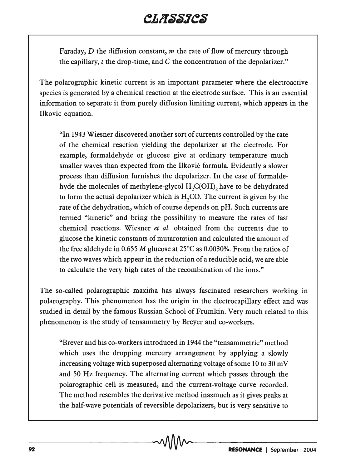Faraday, D the diffusion constant, *m* the rate of flow of mercury through the capillary,  $t$  the drop-time, and  $C$  the concentration of the depolarizer."

The polarographic kinetic current is an important parameter where the electroactive species is generated by a chemical reaction at the electrode surface. This is an essential information to separate it from purely diffusion limiting current, which appears in the Ilkovic equation.

"In 1943 Wiesner discovered another sort of currents controlled by the rate of the chemical reaction yielding the depolarizer at the electrode. For example, formaldehyde or glucose give at ordinary temperature much smaller waves than expected from the Ilkovie formula. Evidently a slower process than diffusion furnishes the depolarizer. **In** the case of formaldehyde the molecules of methylene-glycol H<sub>2</sub>C(OH)<sub>2</sub> have to be dehydrated to form the actual depolarizer which is  $H<sub>2</sub>CO$ . The current is given by the rate of the dehydration, which of course depends on pH. Such currents are termed "kinetic" and bring the possibility to measure the rates of fast chemical reactions. Wiesner *et al.* obtained from the currents due to glucose the kinetic constants of mutarotation and calculated the amount of the free aldehyde in 0.655 M glucose at 25°C as 0.0030%. From the ratios of the two waves which appear in the reduction of a reducible acid, we are able to calculate the very high rates of the recombination of the ions."

The so-called polarographic maxima has always fascinated researchers working in polarography. This phenomenon has the origin in the electrocapillary effect and was studied in detail by the famous Russian School of Frumkin. Very much related to this phenomenon is the study of tensammetry by Breyer and co-workers.

"Breyer and his co-workers introduced in 1944 the "tensammetric" method which uses the dropping mercury arrangement by applying a slowly increasing voltage with superposed alternating voltage of some 10 to 30 m V and 50 Hz frequency. The alternating current which passes through the polarographic cell is measured, and the current-voltage curve recorded. The method resembles the derivative method inasmuch as it gives peaks at the half-wave potentials of reversible depolarizers, but is very sensitive to